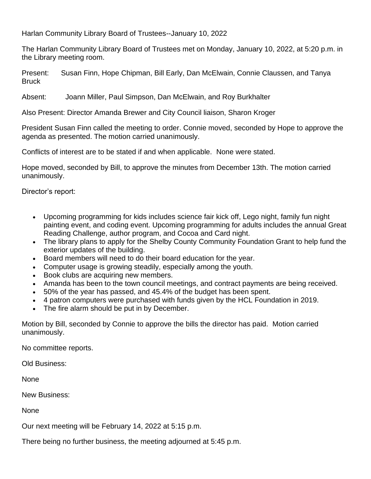Harlan Community Library Board of Trustees--January 10, 2022

The Harlan Community Library Board of Trustees met on Monday, January 10, 2022, at 5:20 p.m. in the Library meeting room.

Present: Susan Finn, Hope Chipman, Bill Early, Dan McElwain, Connie Claussen, and Tanya Bruck

Absent: Joann Miller, Paul Simpson, Dan McElwain, and Roy Burkhalter

Also Present: Director Amanda Brewer and City Council liaison, Sharon Kroger

President Susan Finn called the meeting to order. Connie moved, seconded by Hope to approve the agenda as presented. The motion carried unanimously.

Conflicts of interest are to be stated if and when applicable. None were stated.

Hope moved, seconded by Bill, to approve the minutes from December 13th. The motion carried unanimously.

Director's report:

- Upcoming programming for kids includes science fair kick off, Lego night, family fun night painting event, and coding event. Upcoming programming for adults includes the annual Great Reading Challenge, author program, and Cocoa and Card night.
- The library plans to apply for the Shelby County Community Foundation Grant to help fund the exterior updates of the building.
- Board members will need to do their board education for the year.
- Computer usage is growing steadily, especially among the youth.
- Book clubs are acquiring new members.
- Amanda has been to the town council meetings, and contract payments are being received.
- 50% of the year has passed, and 45.4% of the budget has been spent.
- 4 patron computers were purchased with funds given by the HCL Foundation in 2019.
- The fire alarm should be put in by December.

Motion by Bill, seconded by Connie to approve the bills the director has paid. Motion carried unanimously.

No committee reports.

Old Business:

None

New Business:

**None** 

Our next meeting will be February 14, 2022 at 5:15 p.m.

There being no further business, the meeting adjourned at 5:45 p.m.